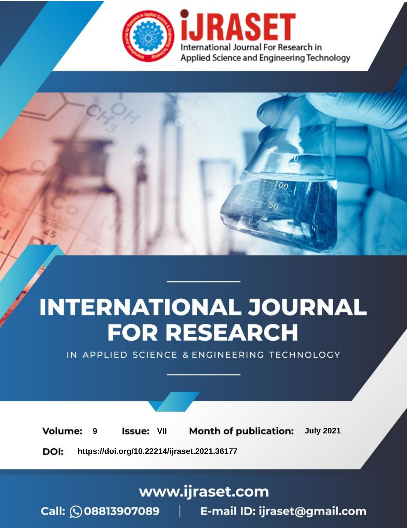

# **INTERNATIONAL JOURNAL FOR RESEARCH**

IN APPLIED SCIENCE & ENGINEERING TECHNOLOGY

**9 Issue:** VII **Month of publication:** July 2021 **Volume: https://doi.org/10.22214/ijraset.2021.36177**DOI:

### www.ijraset.com

Call: 008813907089 | E-mail ID: ijraset@gmail.com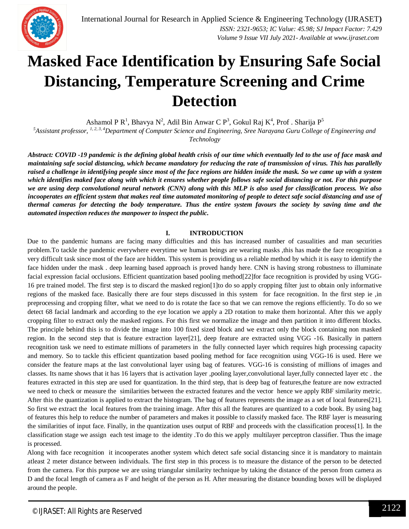

## **Masked Face Identification by Ensuring Safe Social Distancing, Temperature Screening and Crime Detection**

Ashamol P R<sup>1</sup>, Bhavya N<sup>2</sup>, Adil Bin Anwar C P<sup>3</sup>, Gokul Raj K<sup>4</sup>, Prof . Sharija P<sup>5</sup>

<sup>5</sup>Assistant professor, <sup>1, 2, 3, 4</sup>Department of Computer Science and Engineering, Sree Narayana Guru College of Engineering and *Technology*

*Abstract: COVID -19 pandemic is the defining global health crisis of our time which eventually led to the use of face mask and maintaining safe social distancing, which became mandatory for reducing the rate of transmission of virus. This has parallelly raised a challenge in identifying people since most of the face regions are hidden inside the mask. So we came up with a system which identifies maked face along with which it ensures whether people follows safe social distancing or not. For this purpose we are using deep convolutional neural network (CNN) along with this MLP is also used for classification process. We also incooperates an efficient system that makes real time automated monitoring of people to detect safe social distancing and use of thermal cameras for detecting the body temperature. Thus the entire system favours the society by saving time and the automated inspection reduces the manpower to inspect the public.* 

#### **I. INTRODUCTION**

Due to the pandemic humans are facing many difficulties and this has increased number of casualities and man securities problem.To tackle the pandemic everywhere everytime we human beings are wearing masks ,this has made the face recognition a very difficult task since most of the face are hidden. This system is providing us a reliable method by which it is easy to identify the face hidden under the mask . deep learning based approach is proved handy here. CNN is having strong robustness to illuminate facial expression facial occlusions. Efficient quantization based pooling method[22]for face recognition is provided by using VGG-16 pre trained model. The first step is to discard the masked region[1]to do so apply cropping filter just to obtain only informative regions of the masked face. Basically there are four steps discussed in this system for face recognition. In the first step ie ,in preprocessing and cropping filter, what we need to do is rotate the face so that we can remove the regions efficiently. To do so we detect 68 facial landmark and according to the eye location we apply a 2D rotation to make them horizontal. After this we apply cropping filter to extract only the masked regions. For this first we normalize the image and then partition it into different blocks. The principle behind this is to divide the image into 100 fixed sized block and we extract only the block containing non masked region. In the second step that is feature extraction layer[21], deep feature are extracted using VGG -16. Basically in pattern recognition task we need to estimate millions of parameters in the fully connected layer which requires high processing capacity and memory. So to tackle this efficient quantization based pooling method for face recognition using VGG-16 is used. Here we consider the feature maps at the last convolutional layer using bag of features. VGG-16 is consisting of millions of images and classes. Its name shows that it has 16 layers that is activation layer ,pooling layer,convolutional layer,fully connected layer etc . the features extracted in this step are used for quantization. In the third step, that is deep bag of features,the feature are now extracted we need to check or measure the similarities between the extracted features and the vector hence we apply RBF similarity metric. After this the quantization is applied to extract the histogram. The bag of features represents the image as a set of local features[21]. So first we extract the local features from the training image. After this all the features are quantized to a code book. By using bag of features this help to reduce the number of parameters and makes it possible to classify masked face. The RBF layer is measuring the similarities of input face. Finally, in the quantization uses output of RBF and proceeds with the classification process[1]. In the classification stage we assign each test image to the identity .To do this we apply multilayer perceptron classifier. Thus the image is processed.

Along with face recognition it incooperates another system which detect safe social distancing since it is mandatory to maintain atleast 2 meter distance between individuals. The first step in this process is to measure the distance of the person to be detected from the camera. For this purpose we are using triangular similarity technique by taking the distance of the person from camera as D and the focal length of camera as F and height of the person as H. After measuring the distance bounding boxes will be displayed around the people.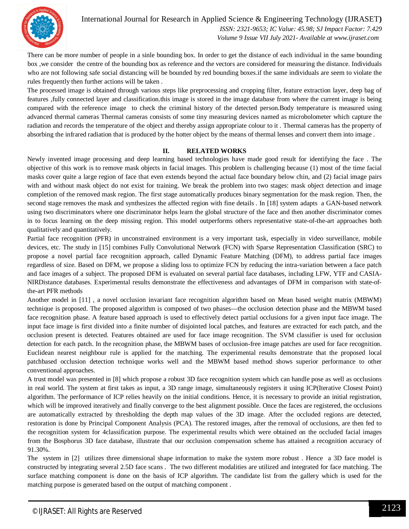

There can be more number of people in a sinle bounding box. In order to get the distance of each individual in the same bounding box ,we consider the centre of the bounding box as reference and the vectors are considered for measuring the distance. Individuals who are not following safe social distancing will be bounded by red bounding boxes.if the same individuals are seem to violate the rules frequently then further actions will be taken .

The processed image is obtained through various steps like preprocessing and cropping filter, feature extraction layer, deep bag of features ,fully connected layer and classification.this image is stored in the image database from where the current image is being compared with the reference image to check the criminal history of the detected person.Body temperature is measured using advanced thermal cameras Thermal cameras consists of some tiny measuring devices named as microbolometer which capture the radiation and records the temperature of the object and thereby assign appropriate colour to it . Thermal cameras has the property of absorbing the infrared radiation that is produced by the hotter object by the means of thermal lenses and convert them into image .

#### **II. RELATED WORKS**

Newly invented image processing and deep learning based technologies have made good result for identifying the face . The objective of this work is to remove mask objects in facial images. This problem is challenging because (1) most of the time facial masks cover quite a large region of face that even extends beyond the actual face boundary below chin, and (2) facial image pairs with and without mask object do not exist for training. We break the problem into two stages: mask object detection and image completion of the removed mask region. The first stage automatically produces binary segmentation for the mask region. Then, the second stage removes the mask and synthesizes the affected region with fine details . In [18] system adapts a GAN-based network using two discriminators where one discriminator helps learn the global structure of the face and then another discriminator comes in to focus learning on the deep missing region. This model outperforms others representative state-of-the-art approaches both qualitatively and quantitatively.

Partial face recognition (PFR) in unconstrained environment is a very important task, especially in video surveillance, mobile devices, etc. The study in [15] combines Fully Convolutional Network (FCN) with Sparse Representation Classification (SRC) to propose a novel partial face recognition approach, called Dynamic Feature Matching (DFM), to address partial face images regardless of size. Based on DFM, we propose a sliding loss to optimize FCN by reducing the intra-variation between a face patch and face images of a subject. The proposed DFM is evaluated on several partial face databases, including LFW, YTF and CASIA-NIRDistance databases. Experimental results demonstrate the effectiveness and advantages of DFM in comparison with state-ofthe-art PFR methods

Another model in [11] , a novel occlusion invariant face recognition algorithm based on Mean based weight matrix (MBWM) technique is proposed. The proposed algorithm is composed of two phases—the occlusion detection phase and the MBWM based face recognition phase. A feature based approach is used to effectively detect partial occlusions for a given input face image. The input face image is first divided into a finite number of disjointed local patches, and features are extracted for each patch, and the occlusion present is detected. Features obtained are used for face image recognition. The SVM classifier is used for occlusion detection for each patch. In the recognition phase, the MBWM bases of occlusion-free image patches are used for face recognition. Euclidean nearest neighbour rule is applied for the matching. The experimental results demonstrate that the proposed local patchbased occlusion detection technique works well and the MBWM based method shows superior performance to other conventional approaches.

A trust model was presented in [8] which propose a robust 3D face recognition system which can handle pose as well as occlusions in real world. The system at first takes as input, a 3D range image, simultaneously registers it using ICP(Iterative Closest Point) algorithm. The performance of ICP relies heavily on the initial conditions. Hence, it is necessary to provide an initial registration, which will be improved iteratively and finally converge to the best alignment possible. Once the faces are registered, the occlusions are automatically extracted by thresholding the depth map values of the 3D image. After the occluded regions are detected, restoration is done by Principal Component Analysis (PCA). The restored images, after the removal of occlusions, are then fed to the recognition system for 4classification purpose. The experimental results which were obtained on the occluded facial images from the Bosphorus 3D face database, illustrate that our occlusion compensation scheme has attained a recognition accuracy of 91.30%.

The system in [2] utilizes three dimensional shape information to make the system more robust . Hence a 3D face model is constructed by integrating several 2.5D face scans . The two different modalities are utilized and integrated for face matching. The surface matching component is done on the basis of ICP algorithm. The candidate list from the gallery which is used for the matching purpose is generated based on the output of matching component .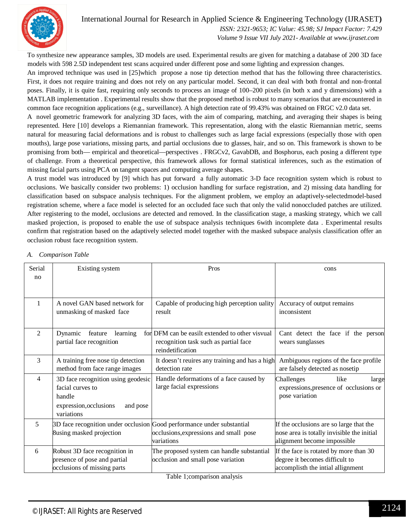

#### International Journal for Research in Applied Science & Engineering Technology (IJRASET**)**  *ISSN: 2321-9653; IC Value: 45.98; SJ Impact Factor: 7.429*

 *Volume 9 Issue VII July 2021- Available at www.ijraset.com*

To synthesize new appearance samples, 3D models are used. Experimental results are given for matching a database of 200 3D face models with 598 2.5D independent test scans acquired under different pose and some lighting and expression changes.

An improved technique was used in [25]which propose a nose tip detection method that has the following three characteristics. First, it does not require training and does not rely on any particular model. Second, it can deal with both frontal and non-frontal poses. Finally, it is quite fast, requiring only seconds to process an image of 100–200 pixels (in both x and y dimensions) with a MATLAB implementation . Experimental results show that the proposed method is robust to many scenarios that are encountered in common face recognition applications (e.g., surveillance). A high detection rate of 99.43% was obtained on FRGC v2.0 data set.

A novel geometric framework for analyzing 3D faces, with the aim of comparing, matching, and averaging their shapes is being represented. Here [10] develops a Riemannian framework. This representation, along with the elastic Riemannian metric, seems natural for measuring facial deformations and is robust to challenges such as large facial expressions (especially those with open mouths), large pose variations, missing parts, and partial occlusions due to glasses, hair, and so on. This framework is shown to be promising from both— empirical and theoretical—perspectives . FRGCv2, GavabDB, and Bosphorus, each posing a different type of challenge. From a theoretical perspective, this framework allows for formal statistical inferences, such as the estimation of missing facial parts using PCA on tangent spaces and computing average shapes.

A trust model was introduced by [9] which has put forward a fully automatic 3-D face recognition system which is robust to occlusions. We basically consider two problems: 1) occlusion handling for surface registration, and 2) missing data handling for classification based on subspace analysis techniques. For the alignment problem, we employ an adaptively-selectedmodel-based registration scheme, where a face model is selected for an occluded face such that only the valid nonoccluded patches are utilized. After registering to the model, occlusions are detected and removed. In the classification stage, a masking strategy, which we call masked projection, is proposed to enable the use of subspace analysis techniques 6with incomplete data . Experimental results confirm that registration based on the adaptively selected model together with the masked subspace analysis classification offer an occlusion robust face recognition system.

| Serial | Existing system                                                        | Pros                                            | cons                                       |
|--------|------------------------------------------------------------------------|-------------------------------------------------|--------------------------------------------|
| no     |                                                                        |                                                 |                                            |
|        |                                                                        |                                                 |                                            |
| 1      | A novel GAN based network for                                          | Capable of producing high perception uality     | Accuracy of output remains                 |
|        | unmasking of masked face                                               | result                                          | inconsistent                               |
| 2      | Dynamic<br>feature<br>learning                                         | for DFM can be easilt extended to other visvual | Cant detect the face if the person         |
|        | partial face recognition                                               | recognition task such as partial face           | wears sunglasses                           |
|        |                                                                        | reindetification                                |                                            |
| 3      | A training free nose tip detection                                     | It doesn't reuires any training and has a high  | Ambiguous regions of the face profile      |
|        | method from face range images                                          | detection rate                                  | are falsely detected as nosetip            |
| 4      | 3D face recognition using geodesic                                     | Handle deformations of a face caused by         | Challenges<br>like<br>large                |
|        | facial curves to                                                       | large facial expressions                        | expressions, presence of occlusions or     |
|        | handle                                                                 |                                                 | pose variation                             |
|        | expression, occlusions<br>and pose<br>variations                       |                                                 |                                            |
| 5      | 3D face recognition under occlusion Good performance under substantial |                                                 | If the occlusions are so large that the    |
|        | 8using masked projection                                               | occlusions, expressions and small pose          | nose area is totally invisible the initial |
|        |                                                                        | variations                                      | alignment become impossible                |
| 6      | Robust 3D face recognition in                                          | The proposed system can handle substantial      | If the face is rotated by more than 30     |
|        | presence of pose and partial                                           | occlusion and small pose variation              | degree it becomes difficult to             |
|        | occlusions of missing parts                                            |                                                 | accomplisth the intial allignment          |

#### *A. Comparison Table*

Table 1;comparison analysis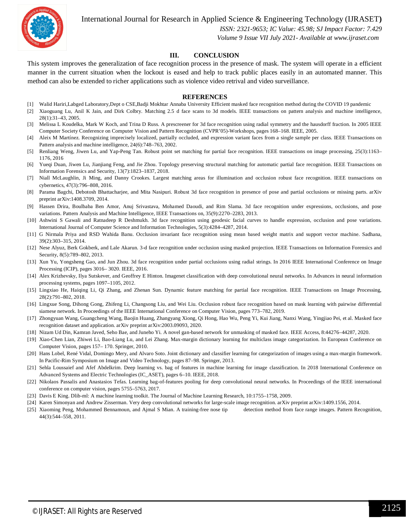

International Journal for Research in Applied Science & Engineering Technology (IJRASET**)**

 *ISSN: 2321-9653; IC Value: 45.98; SJ Impact Factor: 7.429*

 *Volume 9 Issue VII July 2021- Available at www.ijraset.com*

#### **III. CONCLUSION**

This system improves the generalization of face recognition process in the presence of mask. The system will operate in a efficient manner in the current situation when the lockout is eased and help to track public places easily in an automated manner. This method can also be extended to richer applications such as violence video retrival and video surveillance.

#### **REFERENCES**

- [1] Walid Hariri,Labged Laboratory,Dept o CSE,Badji Mokhtar Annaba University Efficient masked face recognition method during the COVID 19 pandemic
- [2] Xiaoguang Lu, Anil K Jain, and Dirk Colbry. Matching 2.5 d face scans to 3d models. IEEE transactions on pattern analysis and machine intelligence, 28(1):31–43, 2005.
- [3] Melissa L Koudelka, Mark W Koch, and Trina D Russ. A prescreener for 3d face recognition using radial symmetry and the hausdorff fraction. In 2005 IEEE Computer Society Conference on Computer Vision and Pattern Recognition (CVPR'05)-Workshops, pages 168–168. IEEE, 2005.
- [4] Aleix M Martínez. Recognizing imprecisely localized, partially occluded, and expression variant faces from a single sample per class. IEEE Transactions on Pattern analysis and machine intelligence, 24(6):748–763, 2002.
- [5] Renliang Weng, Jiwen Lu, and Yap-Peng Tan. Robust point set matching for partial face recognition. IEEE transactions on image processing, 25(3):1163– 1176, 2016
- [6] Yueqi Duan, Jiwen Lu, Jianjiang Feng, and Jie Zhou. Topology preserving structural matching for automatic partial face recognition. IEEE Transactions on Information Forensics and Security, 13(7):1823–1837, 2018.
- [7] Niall McLaughlin, Ji Ming, and Danny Crookes. Largest matching areas for illumination and occlusion robust face recognition. IEEE transactions on cybernetics, 47(3):796–808, 2016.
- [8] Parama Bagchi, Debotosh Bhattacharjee, and Mita Nasipuri. Robust 3d face recognition in presence of pose and partial occlusions or missing parts. arXiv preprint arXiv:1408.3709, 2014.
- [9] Hassen Drira, Boulbaba Ben Amor, Anuj Srivastava, Mohamed Daoudi, and Rim Slama. 3d face recognition under expressions, occlusions, and pose variations. Pattern Analysis and Machine Intelligence, IEEE Transactions on, 35(9):2270–2283, 2013.
- [10] Ashwini S Gawali and Ratnadeep R Deshmukh. 3d face recognition using geodesic facial curves to handle expression, occlusion and pose variations. International Journal of Computer Science and Information Technologies, 5(3):4284–4287, 2014.
- [11] G Nirmala Priya and RSD Wahida Banu. Occlusion invariant face recognition using mean based weight matrix and support vector machine. Sadhana, 39(2):303–315, 2014.
- [12] Nese Alyuz, Berk Gokberk, and Lale Akarun. 3-d face recognition under occlusion using masked projection. IEEE Transactions on Information Forensics and Security, 8(5):789–802, 2013.
- [13] Xun Yu, Yongsheng Gao, and Jun Zhou. 3d face recognition under partial occlusions using radial strings. In 2016 IEEE International Conference on Image Processing (ICIP), pages 3016– 3020. IEEE, 2016.
- [14] Alex Krizhevsky, Ilya Sutskever, and Geoffrey E Hinton. Imagenet classification with deep convolutional neural networks. In Advances in neural information processing systems, pages 1097–1105, 2012.
- [15] Lingxiao He, Haiqing Li, Qi Zhang, and Zhenan Sun. Dynamic feature matching for partial face recognition. IEEE Transactions on Image Processing, 28(2):791–802, 2018.
- [16] Lingxue Song, Dihong Gong, Zhifeng Li, Changsong Liu, and Wei Liu. Occlusion robust face recognition based on mask learning with pairwise differential siamese network. In Proceedings of the IEEE International Conference on Computer Vision, pages 773–782, 2019.
- [17] Zhongyuan Wang, Guangcheng Wang, Baojin Huang, Zhangyang Xiong, Qi Hong, Hao Wu, Peng Yi, Kui Jiang, Nanxi Wang, Yingjiao Pei, et al. Masked face recognition dataset and application. arXiv preprint arXiv:2003.09093, 2020.
- [18] Nizam Ud Din, Kamran Javed, Seho Bae, and Juneho Yi. A novel gan-based network for unmasking of masked face. IEEE Access, 8:44276–44287, 2020.
- [19] Xiao-Chen Lian, Zhiwei Li, Bao-Liang Lu, and Lei Zhang. Max-margin dictionary learning for multiclass image categorization. In European Conference on Computer Vision, pages 157– 170. Springer, 2010.
- [20] Hans Lobel, René Vidal, Domingo Mery, and Alvaro Soto. Joint dictionary and classifier learning for categorization of images using a max-margin framework. In Pacific-Rim Symposium on Image and Video Technology, pages 87–98. Springer, 2013.
- [21] Sehla Loussaief and Afef Abdelkrim. Deep learning vs. bag of features in machine learning for image classification. In 2018 International Conference on Advanced Systems and Electric Technologies (IC\_ASET), pages 6–10. IEEE, 2018.
- [22] Nikolaos Passalis and Anastasios Tefas. Learning bag-of-features pooling for deep convolutional neural networks. In Proceedings of the IEEE international conference on computer vision, pages 5755–5763, 2017.
- [23] Davis E King. Dlib-ml: A machine learning toolkit. The Journal of Machine Learning Research, 10:1755–1758, 2009.
- [24] Karen Simonyan and Andrew Zisserman. Very deep convolutional networks for large-scale image recognition. arXiv preprint arXiv:1409.1556, 2014.
- [25] Xiaoming Peng, Mohammed Bennamoun, and Ajmal S Mian. A training-free nose tip detection method from face range images. Pattern Recognition, 44(3):544–558, 2011.